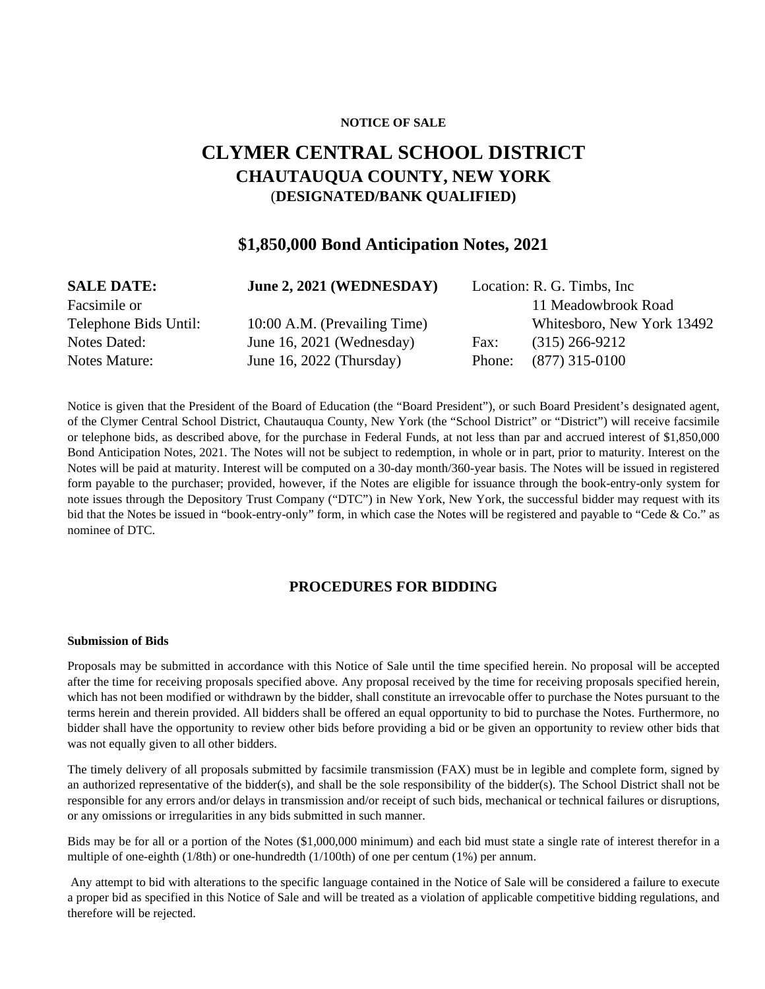### **NOTICE OF SALE**

# **CLYMER CENTRAL SCHOOL DISTRICT CHAUTAUQUA COUNTY, NEW YORK**  (**DESIGNATED/BANK QUALIFIED)**

# **\$1,850,000 Bond Anticipation Notes, 2021**

| <b>SALE DATE:</b>     | June 2, 2021 (WEDNESDAY)     |        | Location: R. G. Timbs, Inc. |
|-----------------------|------------------------------|--------|-----------------------------|
| Facsimile or          |                              |        | 11 Meadowbrook Road         |
| Telephone Bids Until: | 10:00 A.M. (Prevailing Time) |        | Whitesboro, New York 13492  |
| Notes Dated:          | June 16, 2021 (Wednesday)    | Fax:   | $(315)$ 266-9212            |
| Notes Mature:         | June 16, 2022 (Thursday)     | Phone: | $(877)$ 315-0100            |

Notice is given that the President of the Board of Education (the "Board President"), or such Board President's designated agent, of the Clymer Central School District, Chautauqua County, New York (the "School District" or "District") will receive facsimile or telephone bids, as described above, for the purchase in Federal Funds, at not less than par and accrued interest of \$1,850,000 Bond Anticipation Notes, 2021. The Notes will not be subject to redemption, in whole or in part, prior to maturity. Interest on the Notes will be paid at maturity. Interest will be computed on a 30-day month/360-year basis. The Notes will be issued in registered form payable to the purchaser; provided, however, if the Notes are eligible for issuance through the book-entry-only system for note issues through the Depository Trust Company ("DTC") in New York, New York, the successful bidder may request with its bid that the Notes be issued in "book-entry-only" form, in which case the Notes will be registered and payable to "Cede & Co." as nominee of DTC.

## **PROCEDURES FOR BIDDING**

#### **Submission of Bids**

Proposals may be submitted in accordance with this Notice of Sale until the time specified herein. No proposal will be accepted after the time for receiving proposals specified above. Any proposal received by the time for receiving proposals specified herein, which has not been modified or withdrawn by the bidder, shall constitute an irrevocable offer to purchase the Notes pursuant to the terms herein and therein provided. All bidders shall be offered an equal opportunity to bid to purchase the Notes. Furthermore, no bidder shall have the opportunity to review other bids before providing a bid or be given an opportunity to review other bids that was not equally given to all other bidders.

The timely delivery of all proposals submitted by facsimile transmission (FAX) must be in legible and complete form, signed by an authorized representative of the bidder(s), and shall be the sole responsibility of the bidder(s). The School District shall not be responsible for any errors and/or delays in transmission and/or receipt of such bids, mechanical or technical failures or disruptions, or any omissions or irregularities in any bids submitted in such manner.

Bids may be for all or a portion of the Notes (\$1,000,000 minimum) and each bid must state a single rate of interest therefor in a multiple of one-eighth (1/8th) or one-hundredth (1/100th) of one per centum (1%) per annum.

 Any attempt to bid with alterations to the specific language contained in the Notice of Sale will be considered a failure to execute a proper bid as specified in this Notice of Sale and will be treated as a violation of applicable competitive bidding regulations, and therefore will be rejected.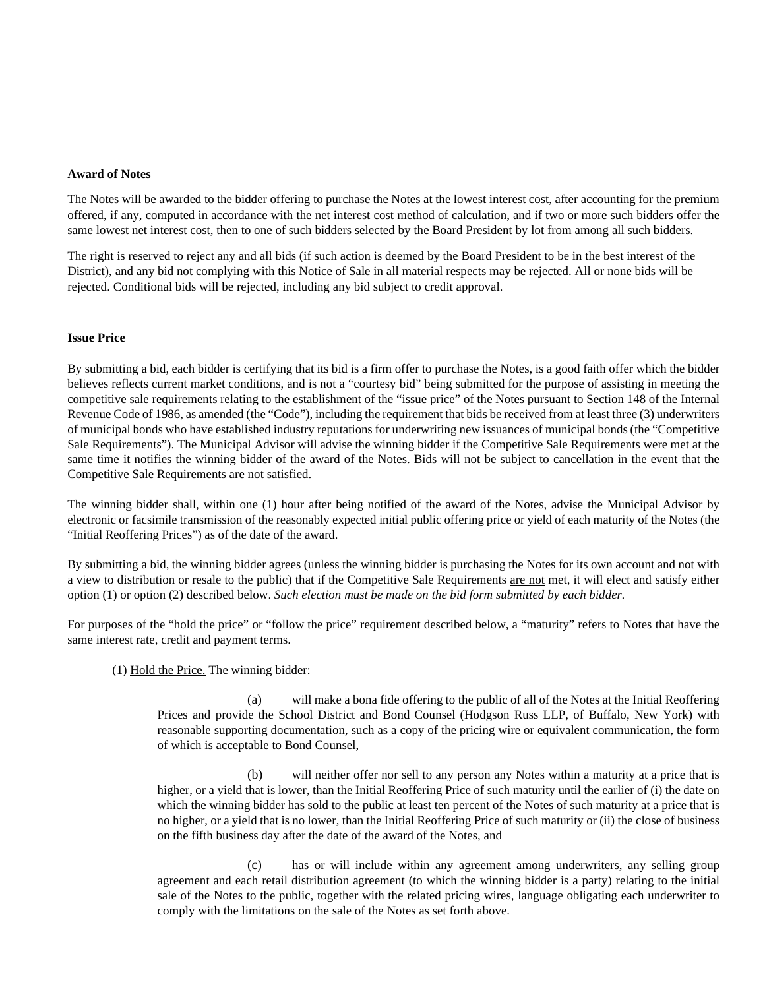#### **Award of Notes**

The Notes will be awarded to the bidder offering to purchase the Notes at the lowest interest cost, after accounting for the premium offered, if any, computed in accordance with the net interest cost method of calculation, and if two or more such bidders offer the same lowest net interest cost, then to one of such bidders selected by the Board President by lot from among all such bidders.

The right is reserved to reject any and all bids (if such action is deemed by the Board President to be in the best interest of the District), and any bid not complying with this Notice of Sale in all material respects may be rejected. All or none bids will be rejected. Conditional bids will be rejected, including any bid subject to credit approval.

### **Issue Price**

By submitting a bid, each bidder is certifying that its bid is a firm offer to purchase the Notes, is a good faith offer which the bidder believes reflects current market conditions, and is not a "courtesy bid" being submitted for the purpose of assisting in meeting the competitive sale requirements relating to the establishment of the "issue price" of the Notes pursuant to Section 148 of the Internal Revenue Code of 1986, as amended (the "Code"), including the requirement that bids be received from at least three (3) underwriters of municipal bonds who have established industry reputations for underwriting new issuances of municipal bonds (the "Competitive Sale Requirements"). The Municipal Advisor will advise the winning bidder if the Competitive Sale Requirements were met at the same time it notifies the winning bidder of the award of the Notes. Bids will not be subject to cancellation in the event that the Competitive Sale Requirements are not satisfied.

The winning bidder shall, within one (1) hour after being notified of the award of the Notes, advise the Municipal Advisor by electronic or facsimile transmission of the reasonably expected initial public offering price or yield of each maturity of the Notes (the "Initial Reoffering Prices") as of the date of the award.

By submitting a bid, the winning bidder agrees (unless the winning bidder is purchasing the Notes for its own account and not with a view to distribution or resale to the public) that if the Competitive Sale Requirements are not met, it will elect and satisfy either option (1) or option (2) described below. *Such election must be made on the bid form submitted by each bidder.* 

For purposes of the "hold the price" or "follow the price" requirement described below, a "maturity" refers to Notes that have the same interest rate, credit and payment terms.

 $(1)$  Hold the Price. The winning bidder:

(a) will make a bona fide offering to the public of all of the Notes at the Initial Reoffering Prices and provide the School District and Bond Counsel (Hodgson Russ LLP, of Buffalo, New York) with reasonable supporting documentation, such as a copy of the pricing wire or equivalent communication, the form of which is acceptable to Bond Counsel,

(b) will neither offer nor sell to any person any Notes within a maturity at a price that is higher, or a yield that is lower, than the Initial Reoffering Price of such maturity until the earlier of (i) the date on which the winning bidder has sold to the public at least ten percent of the Notes of such maturity at a price that is no higher, or a yield that is no lower, than the Initial Reoffering Price of such maturity or (ii) the close of business on the fifth business day after the date of the award of the Notes, and

(c) has or will include within any agreement among underwriters, any selling group agreement and each retail distribution agreement (to which the winning bidder is a party) relating to the initial sale of the Notes to the public, together with the related pricing wires, language obligating each underwriter to comply with the limitations on the sale of the Notes as set forth above.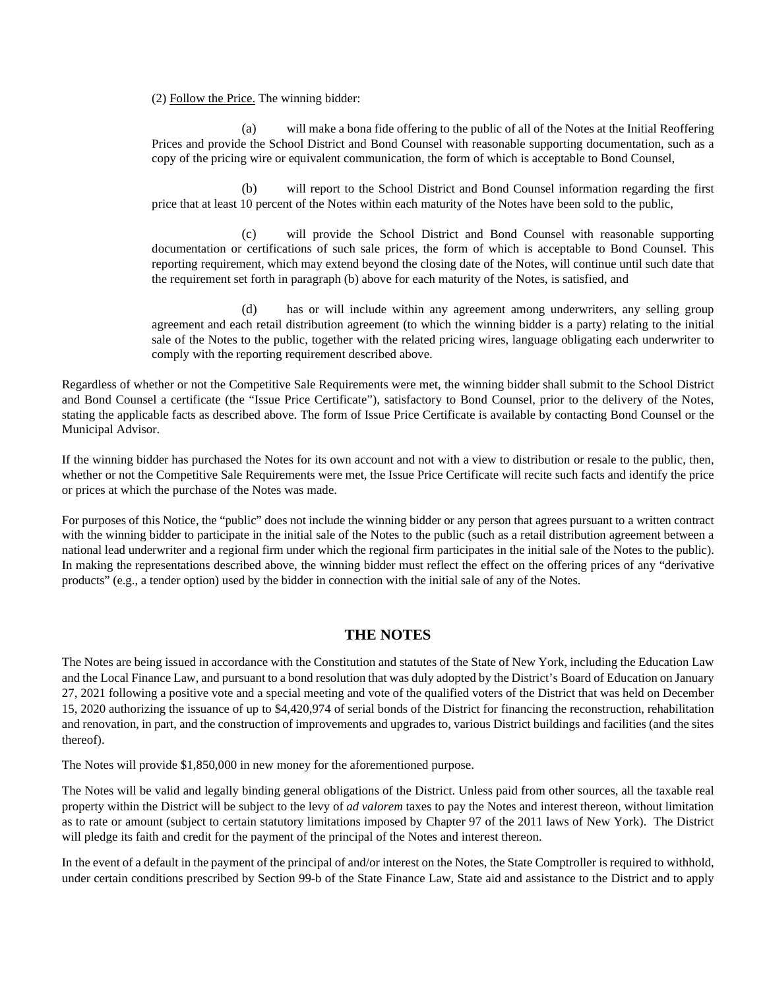(2) Follow the Price. The winning bidder:

(a) will make a bona fide offering to the public of all of the Notes at the Initial Reoffering Prices and provide the School District and Bond Counsel with reasonable supporting documentation, such as a copy of the pricing wire or equivalent communication, the form of which is acceptable to Bond Counsel,

(b) will report to the School District and Bond Counsel information regarding the first price that at least 10 percent of the Notes within each maturity of the Notes have been sold to the public,

(c) will provide the School District and Bond Counsel with reasonable supporting documentation or certifications of such sale prices, the form of which is acceptable to Bond Counsel. This reporting requirement, which may extend beyond the closing date of the Notes, will continue until such date that the requirement set forth in paragraph (b) above for each maturity of the Notes, is satisfied, and

(d) has or will include within any agreement among underwriters, any selling group agreement and each retail distribution agreement (to which the winning bidder is a party) relating to the initial sale of the Notes to the public, together with the related pricing wires, language obligating each underwriter to comply with the reporting requirement described above.

Regardless of whether or not the Competitive Sale Requirements were met, the winning bidder shall submit to the School District and Bond Counsel a certificate (the "Issue Price Certificate"), satisfactory to Bond Counsel, prior to the delivery of the Notes, stating the applicable facts as described above. The form of Issue Price Certificate is available by contacting Bond Counsel or the Municipal Advisor.

If the winning bidder has purchased the Notes for its own account and not with a view to distribution or resale to the public, then, whether or not the Competitive Sale Requirements were met, the Issue Price Certificate will recite such facts and identify the price or prices at which the purchase of the Notes was made.

For purposes of this Notice, the "public" does not include the winning bidder or any person that agrees pursuant to a written contract with the winning bidder to participate in the initial sale of the Notes to the public (such as a retail distribution agreement between a national lead underwriter and a regional firm under which the regional firm participates in the initial sale of the Notes to the public). In making the representations described above, the winning bidder must reflect the effect on the offering prices of any "derivative products" (e.g., a tender option) used by the bidder in connection with the initial sale of any of the Notes.

# **THE NOTES**

The Notes are being issued in accordance with the Constitution and statutes of the State of New York, including the Education Law and the Local Finance Law, and pursuant to a bond resolution that was duly adopted by the District's Board of Education on January 27, 2021 following a positive vote and a special meeting and vote of the qualified voters of the District that was held on December 15, 2020 authorizing the issuance of up to \$4,420,974 of serial bonds of the District for financing the reconstruction, rehabilitation and renovation, in part, and the construction of improvements and upgrades to, various District buildings and facilities (and the sites thereof).

The Notes will provide \$1,850,000 in new money for the aforementioned purpose.

The Notes will be valid and legally binding general obligations of the District. Unless paid from other sources, all the taxable real property within the District will be subject to the levy of *ad valorem* taxes to pay the Notes and interest thereon, without limitation as to rate or amount (subject to certain statutory limitations imposed by Chapter 97 of the 2011 laws of New York). The District will pledge its faith and credit for the payment of the principal of the Notes and interest thereon.

In the event of a default in the payment of the principal of and/or interest on the Notes, the State Comptroller is required to withhold, under certain conditions prescribed by Section 99-b of the State Finance Law, State aid and assistance to the District and to apply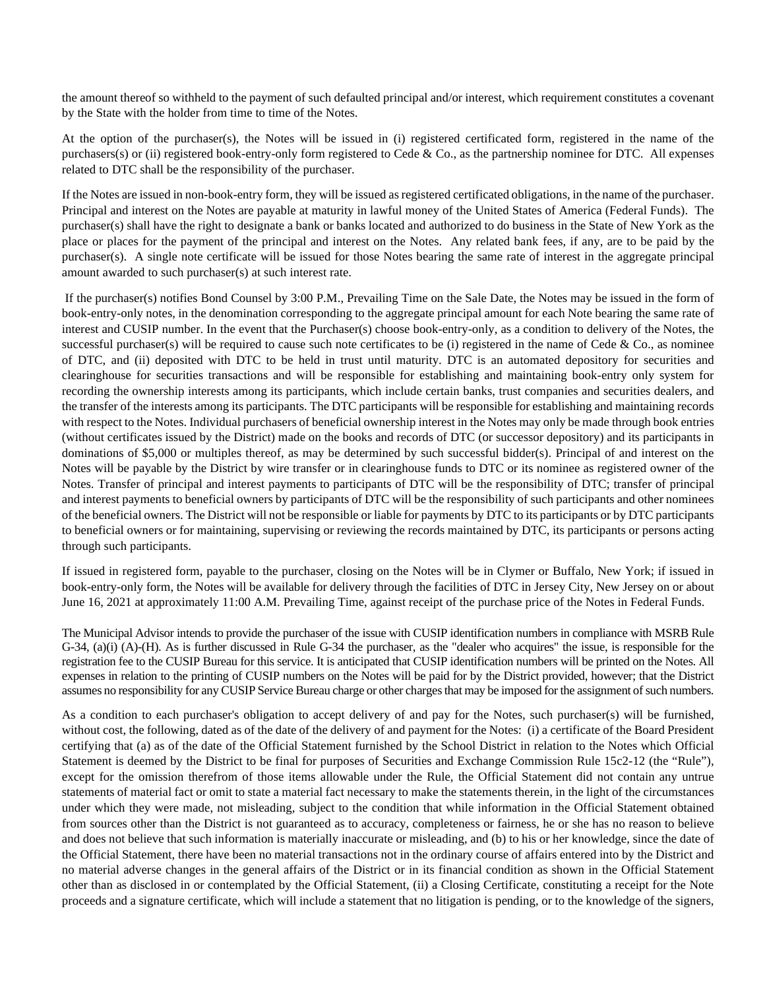the amount thereof so withheld to the payment of such defaulted principal and/or interest, which requirement constitutes a covenant by the State with the holder from time to time of the Notes.

At the option of the purchaser(s), the Notes will be issued in (i) registered certificated form, registered in the name of the purchasers(s) or (ii) registered book-entry-only form registered to Cede  $\&$  Co., as the partnership nominee for DTC. All expenses related to DTC shall be the responsibility of the purchaser.

If the Notes are issued in non-book-entry form, they will be issued as registered certificated obligations, in the name of the purchaser. Principal and interest on the Notes are payable at maturity in lawful money of the United States of America (Federal Funds). The purchaser(s) shall have the right to designate a bank or banks located and authorized to do business in the State of New York as the place or places for the payment of the principal and interest on the Notes. Any related bank fees, if any, are to be paid by the purchaser(s). A single note certificate will be issued for those Notes bearing the same rate of interest in the aggregate principal amount awarded to such purchaser(s) at such interest rate.

 If the purchaser(s) notifies Bond Counsel by 3:00 P.M., Prevailing Time on the Sale Date, the Notes may be issued in the form of book-entry-only notes, in the denomination corresponding to the aggregate principal amount for each Note bearing the same rate of interest and CUSIP number. In the event that the Purchaser(s) choose book-entry-only, as a condition to delivery of the Notes, the successful purchaser(s) will be required to cause such note certificates to be (i) registered in the name of Cede  $\&$  Co., as nominee of DTC, and (ii) deposited with DTC to be held in trust until maturity. DTC is an automated depository for securities and clearinghouse for securities transactions and will be responsible for establishing and maintaining book-entry only system for recording the ownership interests among its participants, which include certain banks, trust companies and securities dealers, and the transfer of the interests among its participants. The DTC participants will be responsible for establishing and maintaining records with respect to the Notes. Individual purchasers of beneficial ownership interest in the Notes may only be made through book entries (without certificates issued by the District) made on the books and records of DTC (or successor depository) and its participants in dominations of \$5,000 or multiples thereof, as may be determined by such successful bidder(s). Principal of and interest on the Notes will be payable by the District by wire transfer or in clearinghouse funds to DTC or its nominee as registered owner of the Notes. Transfer of principal and interest payments to participants of DTC will be the responsibility of DTC; transfer of principal and interest payments to beneficial owners by participants of DTC will be the responsibility of such participants and other nominees of the beneficial owners. The District will not be responsible or liable for payments by DTC to its participants or by DTC participants to beneficial owners or for maintaining, supervising or reviewing the records maintained by DTC, its participants or persons acting through such participants.

If issued in registered form, payable to the purchaser, closing on the Notes will be in Clymer or Buffalo, New York; if issued in book-entry-only form, the Notes will be available for delivery through the facilities of DTC in Jersey City, New Jersey on or about June 16, 2021 at approximately 11:00 A.M. Prevailing Time, against receipt of the purchase price of the Notes in Federal Funds.

The Municipal Advisor intends to provide the purchaser of the issue with CUSIP identification numbers in compliance with MSRB Rule G-34, (a)(i) (A)-(H). As is further discussed in Rule G-34 the purchaser, as the "dealer who acquires" the issue, is responsible for the registration fee to the CUSIP Bureau for this service. It is anticipated that CUSIP identification numbers will be printed on the Notes. All expenses in relation to the printing of CUSIP numbers on the Notes will be paid for by the District provided, however; that the District assumes no responsibility for any CUSIP Service Bureau charge or other charges that may be imposed for the assignment of such numbers.

As a condition to each purchaser's obligation to accept delivery of and pay for the Notes, such purchaser(s) will be furnished, without cost, the following, dated as of the date of the delivery of and payment for the Notes: (i) a certificate of the Board President certifying that (a) as of the date of the Official Statement furnished by the School District in relation to the Notes which Official Statement is deemed by the District to be final for purposes of Securities and Exchange Commission Rule 15c2-12 (the "Rule"), except for the omission therefrom of those items allowable under the Rule, the Official Statement did not contain any untrue statements of material fact or omit to state a material fact necessary to make the statements therein, in the light of the circumstances under which they were made, not misleading, subject to the condition that while information in the Official Statement obtained from sources other than the District is not guaranteed as to accuracy, completeness or fairness, he or she has no reason to believe and does not believe that such information is materially inaccurate or misleading, and (b) to his or her knowledge, since the date of the Official Statement, there have been no material transactions not in the ordinary course of affairs entered into by the District and no material adverse changes in the general affairs of the District or in its financial condition as shown in the Official Statement other than as disclosed in or contemplated by the Official Statement, (ii) a Closing Certificate, constituting a receipt for the Note proceeds and a signature certificate, which will include a statement that no litigation is pending, or to the knowledge of the signers,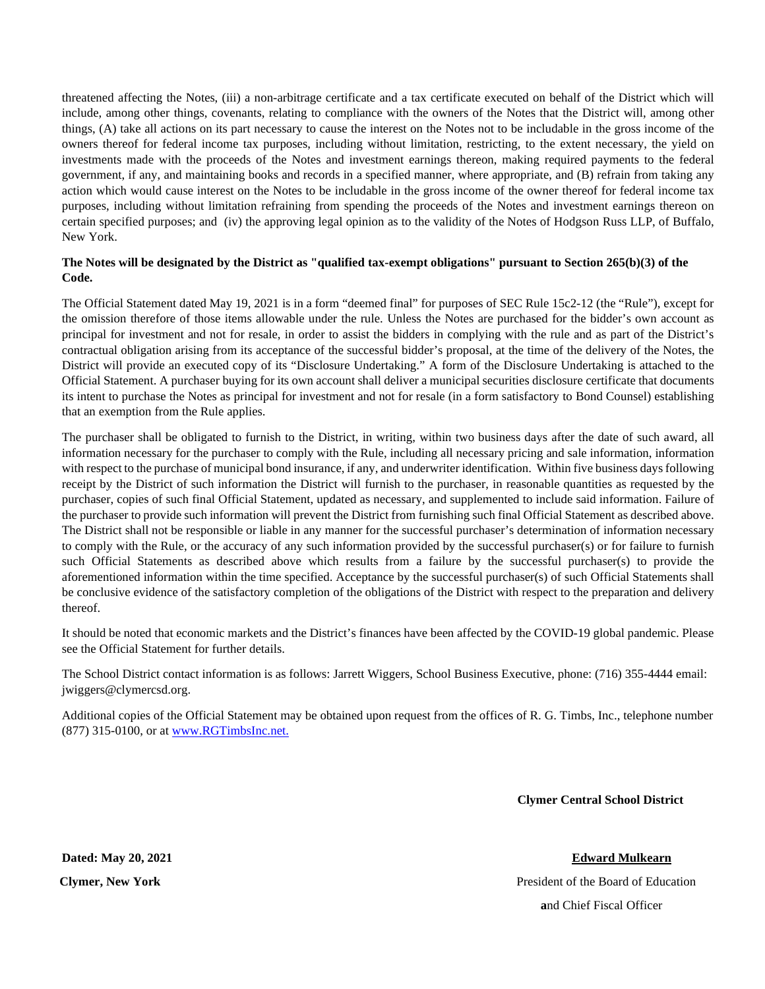threatened affecting the Notes, (iii) a non-arbitrage certificate and a tax certificate executed on behalf of the District which will include, among other things, covenants, relating to compliance with the owners of the Notes that the District will, among other things, (A) take all actions on its part necessary to cause the interest on the Notes not to be includable in the gross income of the owners thereof for federal income tax purposes, including without limitation, restricting, to the extent necessary, the yield on investments made with the proceeds of the Notes and investment earnings thereon, making required payments to the federal government, if any, and maintaining books and records in a specified manner, where appropriate, and (B) refrain from taking any action which would cause interest on the Notes to be includable in the gross income of the owner thereof for federal income tax purposes, including without limitation refraining from spending the proceeds of the Notes and investment earnings thereon on certain specified purposes; and (iv) the approving legal opinion as to the validity of the Notes of Hodgson Russ LLP, of Buffalo, New York.

### **The Notes will be designated by the District as "qualified tax-exempt obligations" pursuant to Section 265(b)(3) of the Code.**

The Official Statement dated May 19, 2021 is in a form "deemed final" for purposes of SEC Rule 15c2-12 (the "Rule"), except for the omission therefore of those items allowable under the rule. Unless the Notes are purchased for the bidder's own account as principal for investment and not for resale, in order to assist the bidders in complying with the rule and as part of the District's contractual obligation arising from its acceptance of the successful bidder's proposal, at the time of the delivery of the Notes, the District will provide an executed copy of its "Disclosure Undertaking." A form of the Disclosure Undertaking is attached to the Official Statement. A purchaser buying for its own account shall deliver a municipal securities disclosure certificate that documents its intent to purchase the Notes as principal for investment and not for resale (in a form satisfactory to Bond Counsel) establishing that an exemption from the Rule applies.

The purchaser shall be obligated to furnish to the District, in writing, within two business days after the date of such award, all information necessary for the purchaser to comply with the Rule, including all necessary pricing and sale information, information with respect to the purchase of municipal bond insurance, if any, and underwriter identification. Within five business days following receipt by the District of such information the District will furnish to the purchaser, in reasonable quantities as requested by the purchaser, copies of such final Official Statement, updated as necessary, and supplemented to include said information. Failure of the purchaser to provide such information will prevent the District from furnishing such final Official Statement as described above. The District shall not be responsible or liable in any manner for the successful purchaser's determination of information necessary to comply with the Rule, or the accuracy of any such information provided by the successful purchaser(s) or for failure to furnish such Official Statements as described above which results from a failure by the successful purchaser(s) to provide the aforementioned information within the time specified. Acceptance by the successful purchaser(s) of such Official Statements shall be conclusive evidence of the satisfactory completion of the obligations of the District with respect to the preparation and delivery thereof.

It should be noted that economic markets and the District's finances have been affected by the COVID-19 global pandemic. Please see the Official Statement for further details.

The School District contact information is as follows: Jarrett Wiggers, School Business Executive, phone: (716) 355-4444 email: jwiggers@clymercsd.org.

Additional copies of the Official Statement may be obtained upon request from the offices of R. G. Timbs, Inc., telephone number (877) 315-0100, or a[t www.RGTimbsInc.net.](http://www.rgtimbsinc.net/)

 **Clymer Central School District**

**Clymer, New York President of the Board of Education a**nd Chief Fiscal Officer

**Dated: May 20, 2021 Edward Mulkearn**